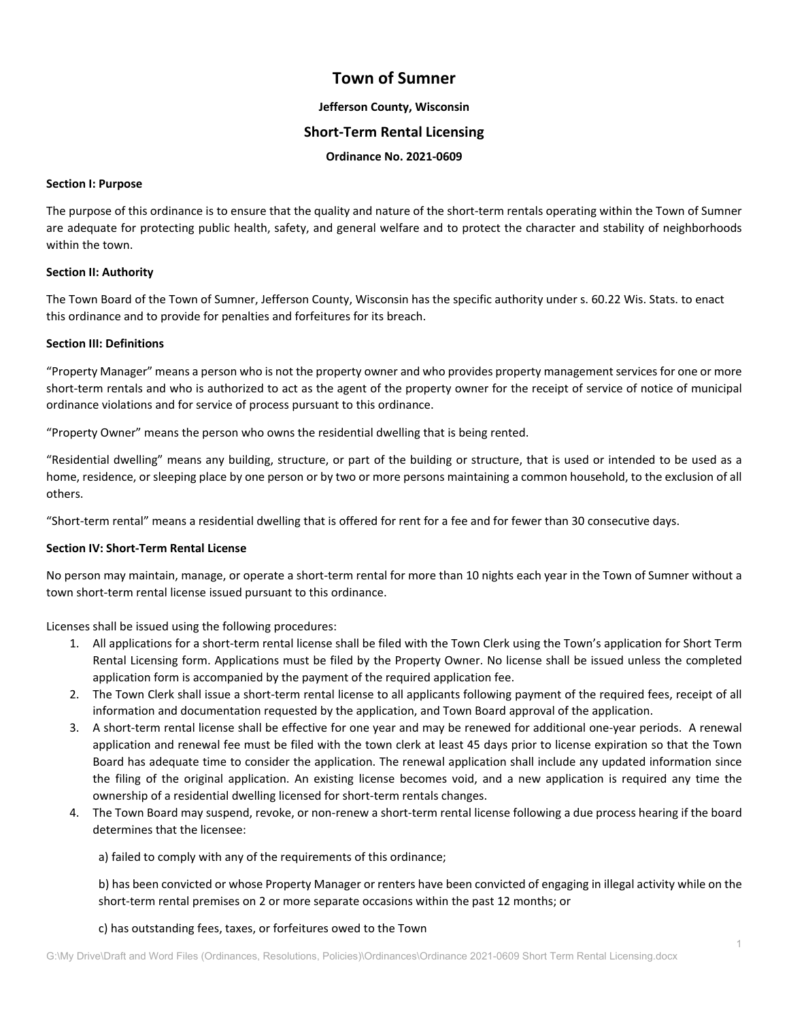# **Town of Sumner**

# **Jefferson County, Wisconsin**

# **Short‐Term Rental Licensing**

# **Ordinance No. 2021‐0609**

# **Section I: Purpose**

The purpose of this ordinance is to ensure that the quality and nature of the short-term rentals operating within the Town of Sumner are adequate for protecting public health, safety, and general welfare and to protect the character and stability of neighborhoods within the town.

# **Section II: Authority**

The Town Board of the Town of Sumner, Jefferson County, Wisconsin has the specific authority under s. 60.22 Wis. Stats. to enact this ordinance and to provide for penalties and forfeitures for its breach.

# **Section III: Definitions**

"Property Manager" means a person who is not the property owner and who provides property management services for one or more short-term rentals and who is authorized to act as the agent of the property owner for the receipt of service of notice of municipal ordinance violations and for service of process pursuant to this ordinance.

"Property Owner" means the person who owns the residential dwelling that is being rented.

"Residential dwelling" means any building, structure, or part of the building or structure, that is used or intended to be used as a home, residence, or sleeping place by one person or by two or more persons maintaining a common household, to the exclusion of all others.

"Short‐term rental" means a residential dwelling that is offered for rent for a fee and for fewer than 30 consecutive days.

#### **Section IV: Short‐Term Rental License**

No person may maintain, manage, or operate a short‐term rental for more than 10 nights each year in the Town of Sumner without a town short-term rental license issued pursuant to this ordinance.

Licenses shall be issued using the following procedures:

- 1. All applications for a short-term rental license shall be filed with the Town Clerk using the Town's application for Short Term Rental Licensing form. Applications must be filed by the Property Owner. No license shall be issued unless the completed application form is accompanied by the payment of the required application fee.
- 2. The Town Clerk shall issue a short-term rental license to all applicants following payment of the required fees, receipt of all information and documentation requested by the application, and Town Board approval of the application.
- 3. A short-term rental license shall be effective for one year and may be renewed for additional one-year periods. A renewal application and renewal fee must be filed with the town clerk at least 45 days prior to license expiration so that the Town Board has adequate time to consider the application. The renewal application shall include any updated information since the filing of the original application. An existing license becomes void, and a new application is required any time the ownership of a residential dwelling licensed for short‐term rentals changes.
- 4. The Town Board may suspend, revoke, or non-renew a short-term rental license following a due process hearing if the board determines that the licensee:

a) failed to comply with any of the requirements of this ordinance;

b) has been convicted or whose Property Manager or renters have been convicted of engaging in illegal activity while on the short-term rental premises on 2 or more separate occasions within the past 12 months; or

c) has outstanding fees, taxes, or forfeitures owed to the Town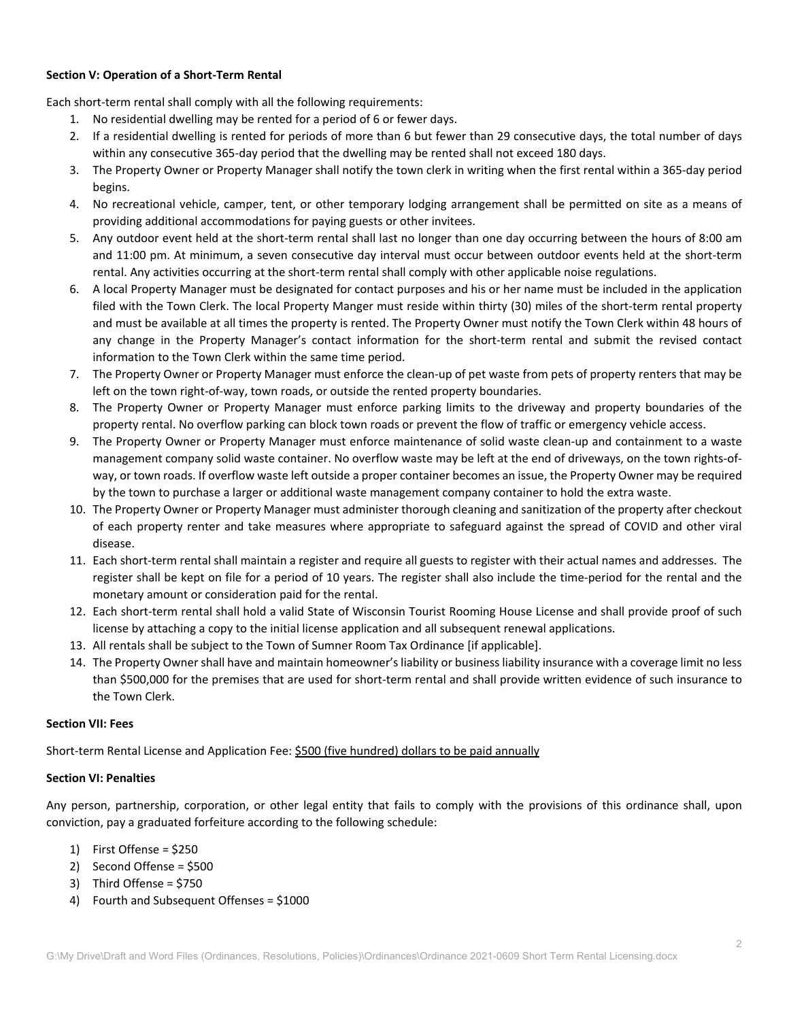# **Section V: Operation of a Short‐Term Rental**

Each short-term rental shall comply with all the following requirements:

- 1. No residential dwelling may be rented for a period of 6 or fewer days.
- 2. If a residential dwelling is rented for periods of more than 6 but fewer than 29 consecutive days, the total number of days within any consecutive 365-day period that the dwelling may be rented shall not exceed 180 days.
- 3. The Property Owner or Property Manager shall notify the town clerk in writing when the first rental within a 365‐day period begins.
- 4. No recreational vehicle, camper, tent, or other temporary lodging arrangement shall be permitted on site as a means of providing additional accommodations for paying guests or other invitees.
- 5. Any outdoor event held at the short-term rental shall last no longer than one day occurring between the hours of 8:00 am and 11:00 pm. At minimum, a seven consecutive day interval must occur between outdoor events held at the short‐term rental. Any activities occurring at the short-term rental shall comply with other applicable noise regulations.
- 6. A local Property Manager must be designated for contact purposes and his or her name must be included in the application filed with the Town Clerk. The local Property Manger must reside within thirty (30) miles of the short-term rental property and must be available at all times the property is rented. The Property Owner must notify the Town Clerk within 48 hours of any change in the Property Manager's contact information for the short-term rental and submit the revised contact information to the Town Clerk within the same time period.
- 7. The Property Owner or Property Manager must enforce the clean‐up of pet waste from pets of property renters that may be left on the town right‐of‐way, town roads, or outside the rented property boundaries.
- 8. The Property Owner or Property Manager must enforce parking limits to the driveway and property boundaries of the property rental. No overflow parking can block town roads or prevent the flow of traffic or emergency vehicle access.
- 9. The Property Owner or Property Manager must enforce maintenance of solid waste clean-up and containment to a waste management company solid waste container. No overflow waste may be left at the end of driveways, on the town rights‐of‐ way, or town roads. If overflow waste left outside a proper container becomes an issue, the Property Owner may be required by the town to purchase a larger or additional waste management company container to hold the extra waste.
- 10. The Property Owner or Property Manager must administer thorough cleaning and sanitization of the property after checkout of each property renter and take measures where appropriate to safeguard against the spread of COVID and other viral disease.
- 11. Each short-term rental shall maintain a register and require all guests to register with their actual names and addresses. The register shall be kept on file for a period of 10 years. The register shall also include the time‐period for the rental and the monetary amount or consideration paid for the rental.
- 12. Each short-term rental shall hold a valid State of Wisconsin Tourist Rooming House License and shall provide proof of such license by attaching a copy to the initial license application and all subsequent renewal applications.
- 13. All rentals shall be subject to the Town of Sumner Room Tax Ordinance [if applicable].
- 14. The Property Owner shall have and maintain homeowner'sliability or business liability insurance with a coverage limit no less than \$500,000 for the premises that are used for short‐term rental and shall provide written evidence of such insurance to the Town Clerk.

# **Section VII: Fees**

Short-term Rental License and Application Fee: \$500 (five hundred) dollars to be paid annually

# **Section VI: Penalties**

Any person, partnership, corporation, or other legal entity that fails to comply with the provisions of this ordinance shall, upon conviction, pay a graduated forfeiture according to the following schedule:

- 1) First Offense = \$250
- 2) Second Offense = \$500
- 3) Third Offense = \$750
- 4) Fourth and Subsequent Offenses = \$1000